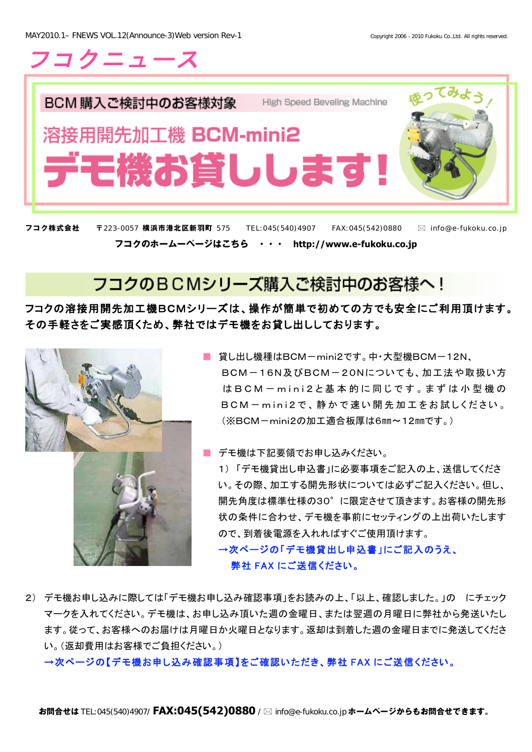

h BCM 購入ご検討中のお客様対象 High Speed Beveling Machine 溶接用開先加工機 BCM-mini2 デモ機お貸しします!

**フコク株式会社 〒**223-0057 **横浜市港北区新羽町** 575TEL:045(540)4907FAX:045(542)0880 info@e-fukoku.co.jp **フコクのホームーページはこちら ・・・ http://www.e-fukoku.co.jp** 

## フコクのBCMシリーズ購入ご検討中のお客様へ!

## フコクの溶接用開先加工機BCMシリーズは、操作が簡単で初めての方でも安全にご利用頂けます。 その手軽さをご実感頂くため、弊社ではデモ機をお貸し出ししております。



- 貸し出し機種はBCM-mini2です。中·大型機BCM-12N、 BCM-16N及びBCM-20Nについても、加工法や取扱い方 はBCM - mini2と基本的に同じです。まずは小型機の  $BCM - mini2$ で、静かで速い開先加工をお試しください。 (※BCM-mini2の加工適合板厚は6mm~12mmです。)
- デモ機は下記要領でお申し込みください。

1)「デモ機貸出し申込書」に必要事項をご記入の上、送信してくださ い。その際、加工する開先形状については必ずご記入ください。但し、 開先角度は標準仕様の30°に限定させて頂きます。お客様の開先形 状の条件に合わせ、デモ機を事前にセッティングの上出荷いたします ので、到着後電源を入れればすぐご使用頂けます。

→次ページの「デモ機貸出し申込書」にご記入のうえ、 弊社 FAX にご送信ください。

2) デモ機お申し込みに際しては「デモ機お申し込み確認事項」をお読みの上、「以上、確認しました。」の にチェック マークを入れてください。デモ機は、お申し込み頂いた週の金曜日、または翌週の月曜日に弊社から発送いたし ます。従って、お客様へのお届けは月曜日か火曜日となります。返却は到着した週の金曜日までに発送してくださ い。(返却費用はお客様でご負担ください。)

→次ページの【デモ機お申し込み確認事項】をご確認いただき、弊社 FAX にご送信ください。